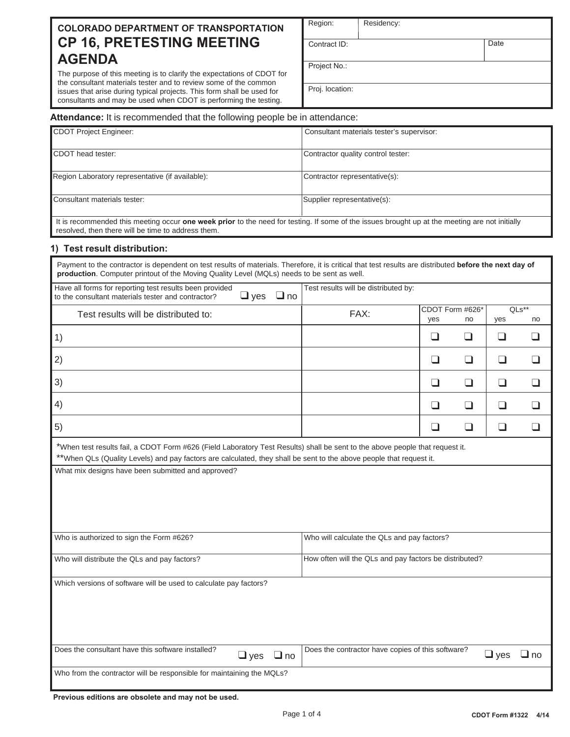# **COLORADO DEPARTMENT OF TRANSPORTATION CP 16, PRETESTING MEETING AGENDA**

The purpose of this meeting is to clarify the expectations of CDOT for the consultant materials tester and to review some of the common issues that arise during typical projects. This form shall be used for consultants and may be used when CDOT is performing the testing.

| Region:         | Residency: |      |
|-----------------|------------|------|
| Contract ID:    |            | Date |
| Project No.:    |            |      |
| Proj. location: |            |      |

#### **Attendance:** It is recommended that the following people be in attendance:

| CDOT Project Engineer:                           | Consultant materials tester's supervisor: |
|--------------------------------------------------|-------------------------------------------|
| CDOT head tester:                                | Contractor quality control tester:        |
| Region Laboratory representative (if available): | Contractor representative(s):             |
| Consultant materials tester:                     | Supplier representative(s):               |

It is recommended this meeting occur **one week prior** to the need for testing. If some of the issues brought up at the meeting are not initially resolved, then there will be time to address them.

### **1) Test result distribution:**

| Payment to the contractor is dependent on test results of materials. Therefore, it is critical that test results are distributed before the next day of<br>production. Computer printout of the Moving Quality Level (MQLs) needs to be sent as well. |                                                        |     |                 |            |           |
|-------------------------------------------------------------------------------------------------------------------------------------------------------------------------------------------------------------------------------------------------------|--------------------------------------------------------|-----|-----------------|------------|-----------|
| Have all forms for reporting test results been provided<br>$\Box$ yes<br>$\Box$ no<br>to the consultant materials tester and contractor?                                                                                                              | Test results will be distributed by:                   |     |                 |            |           |
| Test results will be distributed to:                                                                                                                                                                                                                  | FAX:                                                   |     | CDOT Form #626* |            | $QLs**$   |
|                                                                                                                                                                                                                                                       |                                                        | yes | no              | yes        | no        |
| 1)                                                                                                                                                                                                                                                    |                                                        | ❏   | ப               | ⊔          | ப         |
| 2)                                                                                                                                                                                                                                                    |                                                        | ❏   | $\Box$          | ❏          | ⊔         |
| 3)                                                                                                                                                                                                                                                    |                                                        | ❏   | ❏               | ❏          | ⊔         |
| 4)                                                                                                                                                                                                                                                    |                                                        | ப   | ❏               | ப          | ❏         |
| 5)                                                                                                                                                                                                                                                    |                                                        | ❏   | $\Box$          | ❏          | ப         |
| *When test results fail, a CDOT Form #626 (Field Laboratory Test Results) shall be sent to the above people that request it.<br>**When QLs (Quality Levels) and pay factors are calculated, they shall be sent to the above people that request it.   |                                                        |     |                 |            |           |
| What mix designs have been submitted and approved?                                                                                                                                                                                                    |                                                        |     |                 |            |           |
| Who is authorized to sign the Form #626?                                                                                                                                                                                                              | Who will calculate the QLs and pay factors?            |     |                 |            |           |
| Who will distribute the QLs and pay factors?                                                                                                                                                                                                          | How often will the QLs and pay factors be distributed? |     |                 |            |           |
| Which versions of software will be used to calculate pay factors?                                                                                                                                                                                     |                                                        |     |                 |            |           |
| Does the consultant have this software installed?<br>$\Box$ yes<br>$\Box$ no                                                                                                                                                                          | Does the contractor have copies of this software?      |     |                 | $\Box$ yes | $\Box$ no |
| Who from the contractor will be responsible for maintaining the MQLs?                                                                                                                                                                                 |                                                        |     |                 |            |           |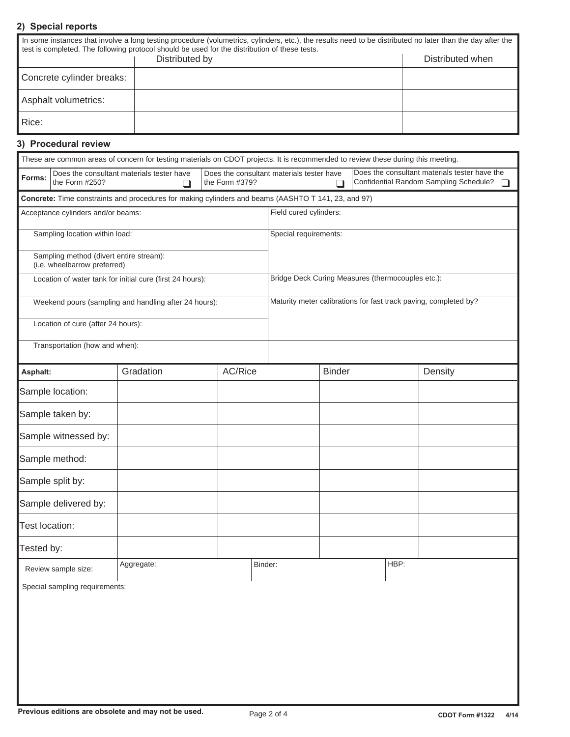# **2) Special reports**

|                           | In some instances that involve a long testing procedure (volumetrics, cylinders, etc.), the results need to be distributed no later than the day after the<br>test is completed. The following protocol should be used for the distribution of these tests. |                  |
|---------------------------|-------------------------------------------------------------------------------------------------------------------------------------------------------------------------------------------------------------------------------------------------------------|------------------|
|                           | Distributed by                                                                                                                                                                                                                                              | Distributed when |
| Concrete cylinder breaks: |                                                                                                                                                                                                                                                             |                  |
| Asphalt volumetrics:      |                                                                                                                                                                                                                                                             |                  |
| Rice:                     |                                                                                                                                                                                                                                                             |                  |

# **3) Procedural review**

|                                |                                                                         | These are common areas of concern for testing materials on CDOT projects. It is recommended to review these during this meeting. |                                                                                                                                                             |                        |               |                                                                  |         |
|--------------------------------|-------------------------------------------------------------------------|----------------------------------------------------------------------------------------------------------------------------------|-------------------------------------------------------------------------------------------------------------------------------------------------------------|------------------------|---------------|------------------------------------------------------------------|---------|
| Forms:                         | the Form #250?                                                          | Does the consultant materials tester have<br>$\Box$                                                                              | Does the consultant materials tester have the<br>Does the consultant materials tester have<br>Confidential Random Sampling Schedule?<br>the Form #379?<br>⊓ |                        |               | $\Box$                                                           |         |
|                                |                                                                         | Concrete: Time constraints and procedures for making cylinders and beams (AASHTO T 141, 23, and 97)                              |                                                                                                                                                             |                        |               |                                                                  |         |
|                                | Acceptance cylinders and/or beams:                                      |                                                                                                                                  |                                                                                                                                                             | Field cured cylinders: |               |                                                                  |         |
|                                | Sampling location within load:                                          |                                                                                                                                  |                                                                                                                                                             | Special requirements:  |               |                                                                  |         |
|                                | Sampling method (divert entire stream):<br>(i.e. wheelbarrow preferred) |                                                                                                                                  |                                                                                                                                                             |                        |               |                                                                  |         |
|                                |                                                                         | Location of water tank for initial cure (first 24 hours):                                                                        |                                                                                                                                                             |                        |               | Bridge Deck Curing Measures (thermocouples etc.):                |         |
|                                |                                                                         | Weekend pours (sampling and handling after 24 hours):                                                                            |                                                                                                                                                             |                        |               | Maturity meter calibrations for fast track paving, completed by? |         |
|                                | Location of cure (after 24 hours):                                      |                                                                                                                                  |                                                                                                                                                             |                        |               |                                                                  |         |
|                                | Transportation (how and when):                                          |                                                                                                                                  |                                                                                                                                                             |                        |               |                                                                  |         |
| Asphalt:                       |                                                                         | Gradation                                                                                                                        | AC/Rice                                                                                                                                                     |                        | <b>Binder</b> |                                                                  | Density |
|                                | Sample location:                                                        |                                                                                                                                  |                                                                                                                                                             |                        |               |                                                                  |         |
|                                | Sample taken by:                                                        |                                                                                                                                  |                                                                                                                                                             |                        |               |                                                                  |         |
|                                | Sample witnessed by:                                                    |                                                                                                                                  |                                                                                                                                                             |                        |               |                                                                  |         |
|                                | Sample method:                                                          |                                                                                                                                  |                                                                                                                                                             |                        |               |                                                                  |         |
|                                | Sample split by:                                                        |                                                                                                                                  |                                                                                                                                                             |                        |               |                                                                  |         |
|                                | Sample delivered by:                                                    |                                                                                                                                  |                                                                                                                                                             |                        |               |                                                                  |         |
| Test location:                 |                                                                         |                                                                                                                                  |                                                                                                                                                             |                        |               |                                                                  |         |
| Tested by:                     |                                                                         |                                                                                                                                  |                                                                                                                                                             |                        |               |                                                                  |         |
|                                | Review sample size:                                                     | Aggregate:                                                                                                                       |                                                                                                                                                             | Binder:                |               | HBP:                                                             |         |
| Special sampling requirements: |                                                                         |                                                                                                                                  |                                                                                                                                                             |                        |               |                                                                  |         |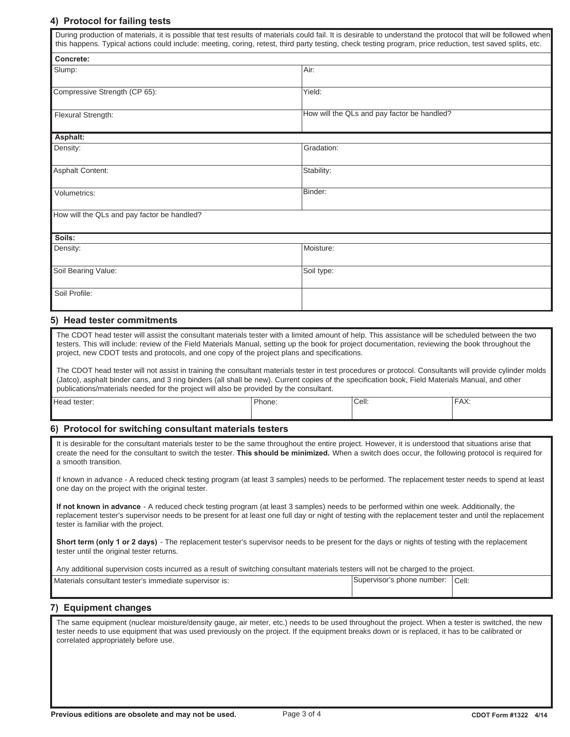# **4) Protocol for failing tests**

|                                                                                                                                                                                                                                                                                                                                                                                                                                                                                                                                                                     |        |            |                                             | this happens. Typical actions could include: meeting, coring, retest, third party testing, check testing program, price reduction, test saved splits, etc. |
|---------------------------------------------------------------------------------------------------------------------------------------------------------------------------------------------------------------------------------------------------------------------------------------------------------------------------------------------------------------------------------------------------------------------------------------------------------------------------------------------------------------------------------------------------------------------|--------|------------|---------------------------------------------|------------------------------------------------------------------------------------------------------------------------------------------------------------|
| Concrete:                                                                                                                                                                                                                                                                                                                                                                                                                                                                                                                                                           |        |            |                                             |                                                                                                                                                            |
| Slump:                                                                                                                                                                                                                                                                                                                                                                                                                                                                                                                                                              |        | Air:       |                                             |                                                                                                                                                            |
| Compressive Strength (CP 65):                                                                                                                                                                                                                                                                                                                                                                                                                                                                                                                                       |        | Yield:     |                                             |                                                                                                                                                            |
| Flexural Strength:                                                                                                                                                                                                                                                                                                                                                                                                                                                                                                                                                  |        |            | How will the QLs and pay factor be handled? |                                                                                                                                                            |
| Asphalt:                                                                                                                                                                                                                                                                                                                                                                                                                                                                                                                                                            |        |            |                                             |                                                                                                                                                            |
| Density:                                                                                                                                                                                                                                                                                                                                                                                                                                                                                                                                                            |        | Gradation: |                                             |                                                                                                                                                            |
| <b>Asphalt Content:</b>                                                                                                                                                                                                                                                                                                                                                                                                                                                                                                                                             |        | Stability: |                                             |                                                                                                                                                            |
| Volumetrics:                                                                                                                                                                                                                                                                                                                                                                                                                                                                                                                                                        |        | Binder:    |                                             |                                                                                                                                                            |
| How will the QLs and pay factor be handled?                                                                                                                                                                                                                                                                                                                                                                                                                                                                                                                         |        |            |                                             |                                                                                                                                                            |
|                                                                                                                                                                                                                                                                                                                                                                                                                                                                                                                                                                     |        |            |                                             |                                                                                                                                                            |
| Soils:<br>Density:                                                                                                                                                                                                                                                                                                                                                                                                                                                                                                                                                  |        | Moisture:  |                                             |                                                                                                                                                            |
|                                                                                                                                                                                                                                                                                                                                                                                                                                                                                                                                                                     |        |            |                                             |                                                                                                                                                            |
| Soil Bearing Value:                                                                                                                                                                                                                                                                                                                                                                                                                                                                                                                                                 |        | Soil type: |                                             |                                                                                                                                                            |
| Soil Profile:                                                                                                                                                                                                                                                                                                                                                                                                                                                                                                                                                       |        |            |                                             |                                                                                                                                                            |
| 5) Head tester commitments                                                                                                                                                                                                                                                                                                                                                                                                                                                                                                                                          |        |            |                                             |                                                                                                                                                            |
|                                                                                                                                                                                                                                                                                                                                                                                                                                                                                                                                                                     |        |            |                                             |                                                                                                                                                            |
| The CDOT head tester will assist the consultant materials tester with a limited amount of help. This assistance will be scheduled between the two<br>testers. This will include: review of the Field Materials Manual, setting up the book for project documentation, reviewing the book throughout the<br>project, new CDOT tests and protocols, and one copy of the project plans and specifications.<br>The CDOT head tester will not assist in training the consultant materials tester in test procedures or protocol. Consultants will provide cylinder molds |        |            |                                             |                                                                                                                                                            |
| (Jatco), asphalt binder cans, and 3 ring binders (all shall be new). Current copies of the specification book, Field Materials Manual, and other<br>publications/materials needed for the project will also be provided by the consultant.                                                                                                                                                                                                                                                                                                                          |        |            |                                             |                                                                                                                                                            |
| Head tester:                                                                                                                                                                                                                                                                                                                                                                                                                                                                                                                                                        | Phone: |            | Cell:                                       | FAX:                                                                                                                                                       |
| 6) Protocol for switching consultant materials testers                                                                                                                                                                                                                                                                                                                                                                                                                                                                                                              |        |            |                                             |                                                                                                                                                            |
| It is desirable for the consultant materials tester to be the same throughout the entire project. However, it is understood that situations arise that<br>create the need for the consultant to switch the tester. This should be minimized. When a switch does occur, the following protocol is required for<br>a smooth transition.                                                                                                                                                                                                                               |        |            |                                             |                                                                                                                                                            |
| If known in advance - A reduced check testing program (at least 3 samples) needs to be performed. The replacement tester needs to spend at least<br>one day on the project with the original tester.                                                                                                                                                                                                                                                                                                                                                                |        |            |                                             |                                                                                                                                                            |
| If not known in advance - A reduced check testing program (at least 3 samples) needs to be performed within one week. Additionally, the<br>replacement tester's supervisor needs to be present for at least one full day or night of testing with the replacement tester and until the replacement<br>tester is familiar with the project.                                                                                                                                                                                                                          |        |            |                                             |                                                                                                                                                            |
| Short term (only 1 or 2 days) - The replacement tester's supervisor needs to be present for the days or nights of testing with the replacement<br>tester until the original tester returns.                                                                                                                                                                                                                                                                                                                                                                         |        |            |                                             |                                                                                                                                                            |
| Any additional supervision costs incurred as a result of switching consultant materials testers will not be charged to the project.                                                                                                                                                                                                                                                                                                                                                                                                                                 |        |            |                                             |                                                                                                                                                            |
| Supervisor's phone number: Cell:<br>Materials consultant tester's immediate supervisor is:                                                                                                                                                                                                                                                                                                                                                                                                                                                                          |        |            |                                             |                                                                                                                                                            |
| 7) Equipment changes                                                                                                                                                                                                                                                                                                                                                                                                                                                                                                                                                |        |            |                                             |                                                                                                                                                            |
| The same equipment (nuclear moisture/density gauge, air meter, etc.) needs to be used throughout the project. When a tester is switched, the new                                                                                                                                                                                                                                                                                                                                                                                                                    |        |            |                                             | tester needs to use equipment that was used previously on the project. If the equipment breaks down or is replaced, it has to be calibrated or             |